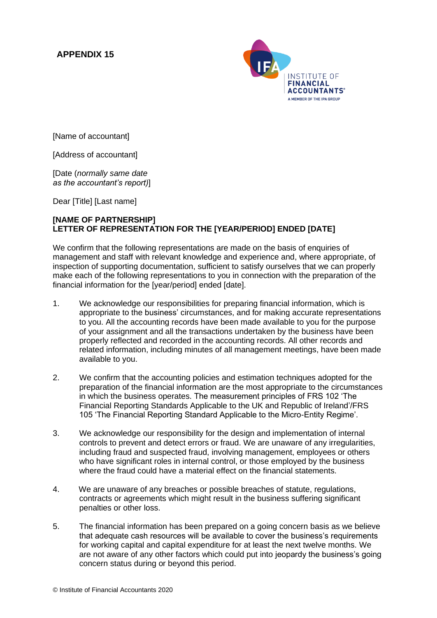## **APPENDIX 15**



[Name of accountant]

[Address of accountant]

[Date (*normally same date as the accountant's report)*]

Dear [Title] [Last name]

## **[NAME OF PARTNERSHIP] LETTER OF REPRESENTATION FOR THE [YEAR/PERIOD] ENDED [DATE]**

We confirm that the following representations are made on the basis of enquiries of management and staff with relevant knowledge and experience and, where appropriate, of inspection of supporting documentation, sufficient to satisfy ourselves that we can properly make each of the following representations to you in connection with the preparation of the financial information for the [year/period] ended [date].

- 1. We acknowledge our responsibilities for preparing financial information, which is appropriate to the business' circumstances, and for making accurate representations to you. All the accounting records have been made available to you for the purpose of your assignment and all the transactions undertaken by the business have been properly reflected and recorded in the accounting records. All other records and related information, including minutes of all management meetings, have been made available to you.
- 2. We confirm that the accounting policies and estimation techniques adopted for the preparation of the financial information are the most appropriate to the circumstances in which the business operates. The measurement principles of FRS 102 'The Financial Reporting Standards Applicable to the UK and Republic of Ireland'/FRS 105 'The Financial Reporting Standard Applicable to the Micro-Entity Regime'.
- 3. We acknowledge our responsibility for the design and implementation of internal controls to prevent and detect errors or fraud. We are unaware of any irregularities, including fraud and suspected fraud, involving management, employees or others who have significant roles in internal control, or those employed by the business where the fraud could have a material effect on the financial statements.
- 4. We are unaware of any breaches or possible breaches of statute, regulations, contracts or agreements which might result in the business suffering significant penalties or other loss.
- 5. The financial information has been prepared on a going concern basis as we believe that adequate cash resources will be available to cover the business's requirements for working capital and capital expenditure for at least the next twelve months. We are not aware of any other factors which could put into jeopardy the business's going concern status during or beyond this period.